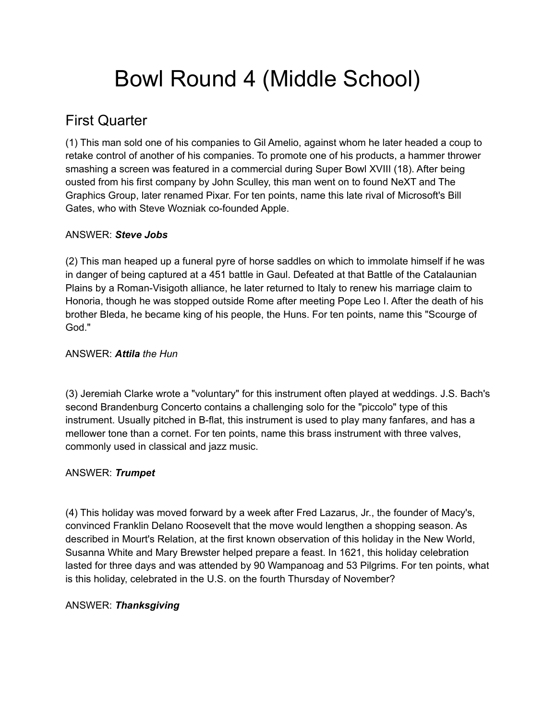# Bowl Round 4 (Middle School)

# First Quarter

(1) This man sold one of his companies to Gil Amelio, against whom he later headed a coup to retake control of another of his companies. To promote one of his products, a hammer thrower smashing a screen was featured in a commercial during Super Bowl XVIII (18). After being ousted from his first company by John Sculley, this man went on to found NeXT and The Graphics Group, later renamed Pixar. For ten points, name this late rival of Microsoft's Bill Gates, who with Steve Wozniak co-founded Apple.

# ANSWER: *Steve Jobs*

(2) This man heaped up a funeral pyre of horse saddles on which to immolate himself if he was in danger of being captured at a 451 battle in Gaul. Defeated at that Battle of the Catalaunian Plains by a Roman-Visigoth alliance, he later returned to Italy to renew his marriage claim to Honoria, though he was stopped outside Rome after meeting Pope Leo I. After the death of his brother Bleda, he became king of his people, the Huns. For ten points, name this "Scourge of God."

# ANSWER: *Attila the Hun*

(3) Jeremiah Clarke wrote a "voluntary" for this instrument often played at weddings. J.S. Bach's second Brandenburg Concerto contains a challenging solo for the "piccolo" type of this instrument. Usually pitched in B-flat, this instrument is used to play many fanfares, and has a mellower tone than a cornet. For ten points, name this brass instrument with three valves, commonly used in classical and jazz music.

# ANSWER: *Trumpet*

(4) This holiday was moved forward by a week after Fred Lazarus, Jr., the founder of Macy's, convinced Franklin Delano Roosevelt that the move would lengthen a shopping season. As described in Mourt's Relation, at the first known observation of this holiday in the New World, Susanna White and Mary Brewster helped prepare a feast. In 1621, this holiday celebration lasted for three days and was attended by 90 Wampanoag and 53 Pilgrims. For ten points, what is this holiday, celebrated in the U.S. on the fourth Thursday of November?

# ANSWER: *Thanksgiving*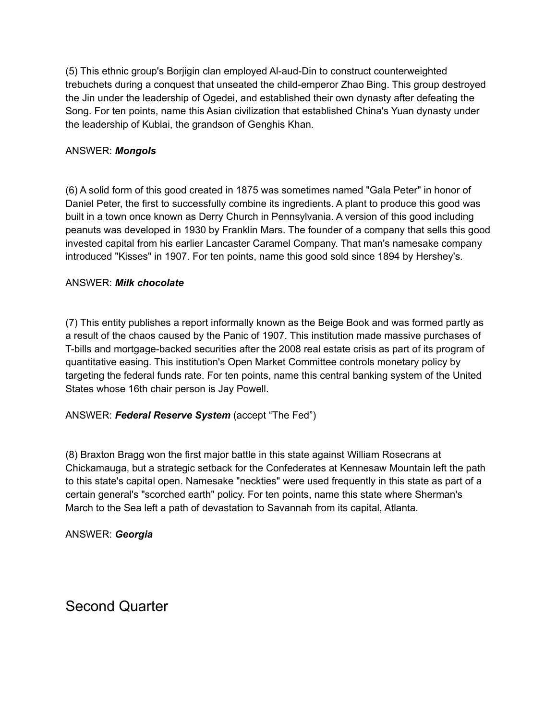(5) This ethnic group's Borjigin clan employed Al-aud-Din to construct counterweighted trebuchets during a conquest that unseated the child-emperor Zhao Bing. This group destroyed the Jin under the leadership of Ogedei, and established their own dynasty after defeating the Song. For ten points, name this Asian civilization that established China's Yuan dynasty under the leadership of Kublai, the grandson of Genghis Khan.

#### ANSWER: *Mongols*

(6) A solid form of this good created in 1875 was sometimes named "Gala Peter" in honor of Daniel Peter, the first to successfully combine its ingredients. A plant to produce this good was built in a town once known as Derry Church in Pennsylvania. A version of this good including peanuts was developed in 1930 by Franklin Mars. The founder of a company that sells this good invested capital from his earlier Lancaster Caramel Company. That man's namesake company introduced "Kisses" in 1907. For ten points, name this good sold since 1894 by Hershey's.

#### ANSWER: *Milk chocolate*

(7) This entity publishes a report informally known as the Beige Book and was formed partly as a result of the chaos caused by the Panic of 1907. This institution made massive purchases of T-bills and mortgage-backed securities after the 2008 real estate crisis as part of its program of quantitative easing. This institution's Open Market Committee controls monetary policy by targeting the federal funds rate. For ten points, name this central banking system of the United States whose 16th chair person is Jay Powell.

# ANSWER: *Federal Reserve System* (accept "The Fed")

(8) Braxton Bragg won the first major battle in this state against William Rosecrans at Chickamauga, but a strategic setback for the Confederates at Kennesaw Mountain left the path to this state's capital open. Namesake "neckties" were used frequently in this state as part of a certain general's "scorched earth" policy. For ten points, name this state where Sherman's March to the Sea left a path of devastation to Savannah from its capital, Atlanta.

ANSWER: *Georgia*

Second Quarter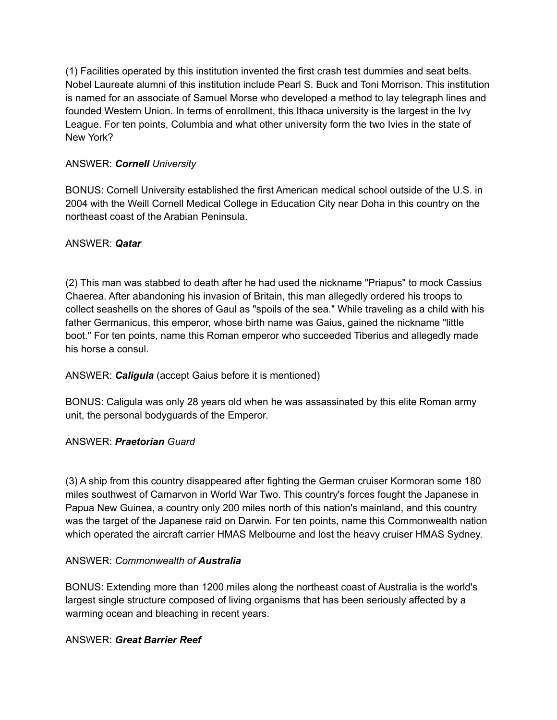(1) Facilities operated by this institution invented the first crash test dummies and seat belts. Nobel Laureate alumni of this institution include Pearl S. Buck and Toni Morrison. This institution is named for an associate of Samuel Morse who developed a method to lay telegraph lines and founded Western Union. In terms of enrollment, this Ithaca university is the largest in the Ivy League. For ten points, Columbia and what other university form the two Ivies in the state of New York?

# ANSWER: *Cornell University*

BONUS: Cornell University established the first American medical school outside of the U.S. in 2004 with the Weill Cornell Medical College in Education City near Doha in this country on the northeast coast of the Arabian Peninsula.

# ANSWER: *Qatar*

(2) This man was stabbed to death after he had used the nickname "Priapus" to mock Cassius Chaerea. After abandoning his invasion of Britain, this man allegedly ordered his troops to collect seashells on the shores of Gaul as "spoils of the sea." While traveling as a child with his father Germanicus, this emperor, whose birth name was Gaius, gained the nickname "little boot." For ten points, name this Roman emperor who succeeded Tiberius and allegedly made his horse a consul.

# ANSWER: *Caligula* (accept Gaius before it is mentioned)

BONUS: Caligula was only 28 years old when he was assassinated by this elite Roman army unit, the personal bodyguards of the Emperor.

# ANSWER: *Praetorian Guard*

(3) A ship from this country disappeared after fighting the German cruiser Kormoran some 180 miles southwest of Carnarvon in World War Two. This country's forces fought the Japanese in Papua New Guinea, a country only 200 miles north of this nation's mainland, and this country was the target of the Japanese raid on Darwin. For ten points, name this Commonwealth nation which operated the aircraft carrier HMAS Melbourne and lost the heavy cruiser HMAS Sydney.

# ANSWER: *Commonwealth of Australia*

BONUS: Extending more than 1200 miles along the northeast coast of Australia is the world's largest single structure composed of living organisms that has been seriously affected by a warming ocean and bleaching in recent years.

# ANSWER: *Great Barrier Reef*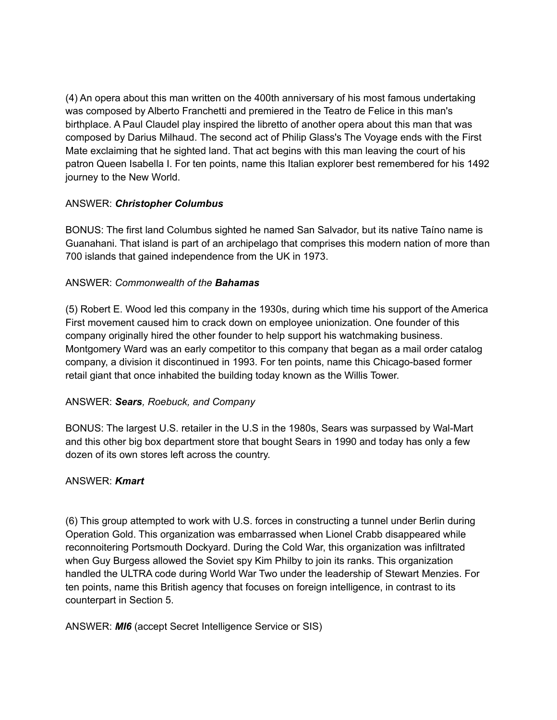(4) An opera about this man written on the 400th anniversary of his most famous undertaking was composed by Alberto Franchetti and premiered in the Teatro de Felice in this man's birthplace. A Paul Claudel play inspired the libretto of another opera about this man that was composed by Darius Milhaud. The second act of Philip Glass's The Voyage ends with the First Mate exclaiming that he sighted land. That act begins with this man leaving the court of his patron Queen Isabella I. For ten points, name this Italian explorer best remembered for his 1492 journey to the New World.

#### ANSWER: *Christopher Columbus*

BONUS: The first land Columbus sighted he named San Salvador, but its native Taíno name is Guanahani. That island is part of an archipelago that comprises this modern nation of more than 700 islands that gained independence from the UK in 1973.

#### ANSWER: *Commonwealth of the Bahamas*

(5) Robert E. Wood led this company in the 1930s, during which time his support of the America First movement caused him to crack down on employee unionization. One founder of this company originally hired the other founder to help support his watchmaking business. Montgomery Ward was an early competitor to this company that began as a mail order catalog company, a division it discontinued in 1993. For ten points, name this Chicago-based former retail giant that once inhabited the building today known as the Willis Tower.

# ANSWER: *Sears, Roebuck, and Company*

BONUS: The largest U.S. retailer in the U.S in the 1980s, Sears was surpassed by Wal-Mart and this other big box department store that bought Sears in 1990 and today has only a few dozen of its own stores left across the country.

#### ANSWER: *Kmart*

(6) This group attempted to work with U.S. forces in constructing a tunnel under Berlin during Operation Gold. This organization was embarrassed when Lionel Crabb disappeared while reconnoitering Portsmouth Dockyard. During the Cold War, this organization was infiltrated when Guy Burgess allowed the Soviet spy Kim Philby to join its ranks. This organization handled the ULTRA code during World War Two under the leadership of Stewart Menzies. For ten points, name this British agency that focuses on foreign intelligence, in contrast to its counterpart in Section 5.

ANSWER: *MI6* (accept Secret Intelligence Service or SIS)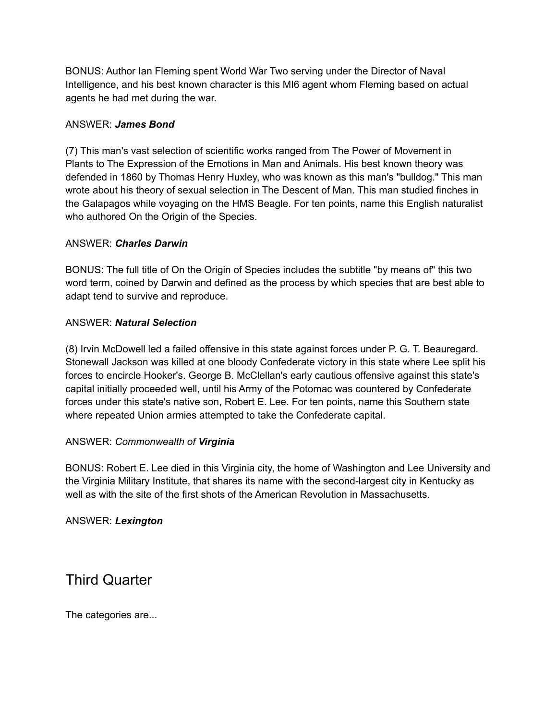BONUS: Author Ian Fleming spent World War Two serving under the Director of Naval Intelligence, and his best known character is this MI6 agent whom Fleming based on actual agents he had met during the war.

#### ANSWER: *James Bond*

(7) This man's vast selection of scientific works ranged from The Power of Movement in Plants to The Expression of the Emotions in Man and Animals. His best known theory was defended in 1860 by Thomas Henry Huxley, who was known as this man's "bulldog." This man wrote about his theory of sexual selection in The Descent of Man. This man studied finches in the Galapagos while voyaging on the HMS Beagle. For ten points, name this English naturalist who authored On the Origin of the Species.

#### ANSWER: *Charles Darwin*

BONUS: The full title of On the Origin of Species includes the subtitle "by means of" this two word term, coined by Darwin and defined as the process by which species that are best able to adapt tend to survive and reproduce.

#### ANSWER: *Natural Selection*

(8) Irvin McDowell led a failed offensive in this state against forces under P. G. T. Beauregard. Stonewall Jackson was killed at one bloody Confederate victory in this state where Lee split his forces to encircle Hooker's. George B. McClellan's early cautious offensive against this state's capital initially proceeded well, until his Army of the Potomac was countered by Confederate forces under this state's native son, Robert E. Lee. For ten points, name this Southern state where repeated Union armies attempted to take the Confederate capital.

#### ANSWER: *Commonwealth of Virginia*

BONUS: Robert E. Lee died in this Virginia city, the home of Washington and Lee University and the Virginia Military Institute, that shares its name with the second-largest city in Kentucky as well as with the site of the first shots of the American Revolution in Massachusetts.

# ANSWER: *Lexington*

Third Quarter

The categories are...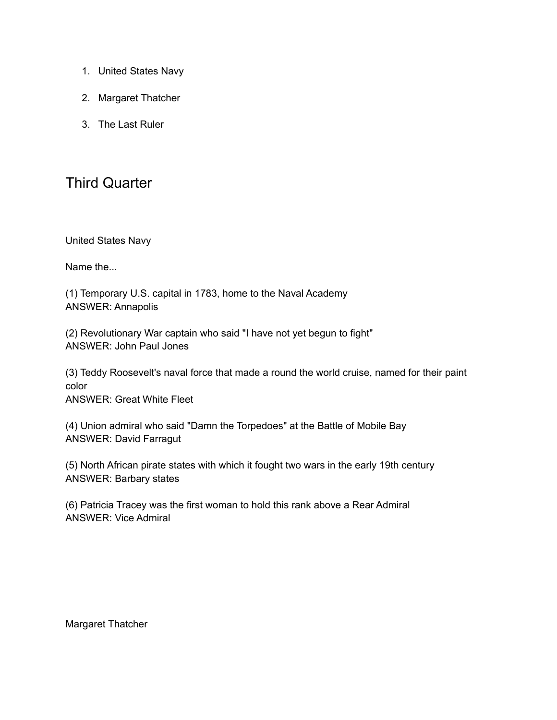- 1. United States Navy
- 2. Margaret Thatcher
- 3. The Last Ruler

# Third Quarter

United States Navy

Name the...

(1) Temporary U.S. capital in 1783, home to the Naval Academy ANSWER: Annapolis

(2) Revolutionary War captain who said "I have not yet begun to fight" ANSWER: John Paul Jones

(3) Teddy Roosevelt's naval force that made a round the world cruise, named for their paint color

ANSWER: Great White Fleet

(4) Union admiral who said "Damn the Torpedoes" at the Battle of Mobile Bay ANSWER: David Farragut

(5) North African pirate states with which it fought two wars in the early 19th century ANSWER: Barbary states

(6) Patricia Tracey was the first woman to hold this rank above a Rear Admiral ANSWER: Vice Admiral

Margaret Thatcher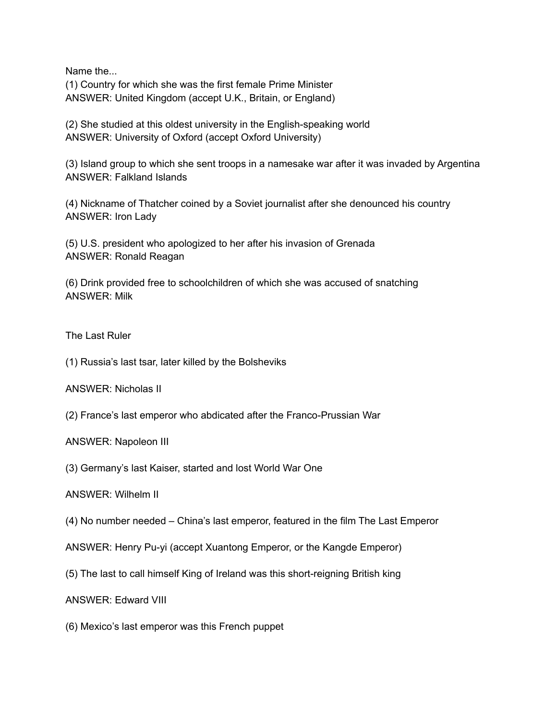Name the... (1) Country for which she was the first female Prime Minister ANSWER: United Kingdom (accept U.K., Britain, or England)

(2) She studied at this oldest university in the English-speaking world ANSWER: University of Oxford (accept Oxford University)

(3) Island group to which she sent troops in a namesake war after it was invaded by Argentina ANSWER: Falkland Islands

(4) Nickname of Thatcher coined by a Soviet journalist after she denounced his country ANSWER: Iron Lady

(5) U.S. president who apologized to her after his invasion of Grenada ANSWER: Ronald Reagan

(6) Drink provided free to schoolchildren of which she was accused of snatching ANSWER: Milk

The Last Ruler

(1) Russia's last tsar, later killed by the Bolsheviks

ANSWER: Nicholas II

(2) France's last emperor who abdicated after the Franco-Prussian War

ANSWER: Napoleon III

(3) Germany's last Kaiser, started and lost World War One

ANSWER: Wilhelm II

(4) No number needed – China's last emperor, featured in the film The Last Emperor

ANSWER: Henry Pu-yi (accept Xuantong Emperor, or the Kangde Emperor)

(5) The last to call himself King of Ireland was this short-reigning British king

ANSWER: Edward VIII

(6) Mexico's last emperor was this French puppet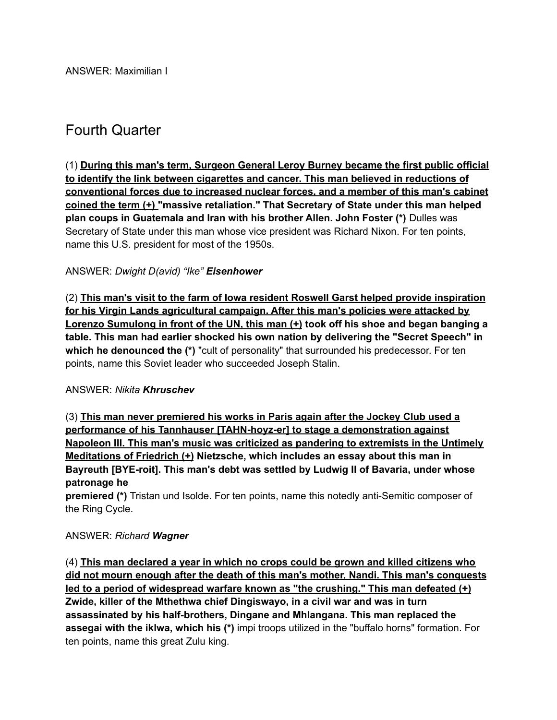# Fourth Quarter

(1) **During this man's term, Surgeon General Leroy Burney became the first public official to identify the link between cigarettes and cancer. This man believed in reductions of conventional forces due to increased nuclear forces, and a member of this man's cabinet coined the term (+) "massive retaliation." That Secretary of State under this man helped plan coups in Guatemala and Iran with his brother Allen. John Foster (\*)** Dulles was Secretary of State under this man whose vice president was Richard Nixon. For ten points, name this U.S. president for most of the 1950s.

# ANSWER: *Dwight D(avid) "Ike" Eisenhower*

(2) **This man's visit to the farm of Iowa resident Roswell Garst helped provide inspiration for his Virgin Lands agricultural campaign. After this man's policies were attacked by Lorenzo Sumulong in front of the UN, this man (+) took off his shoe and began banging a table. This man had earlier shocked his own nation by delivering the "Secret Speech" in which he denounced the (\*)** "cult of personality" that surrounded his predecessor. For ten points, name this Soviet leader who succeeded Joseph Stalin.

#### ANSWER: *Nikita Khruschev*

(3) **This man never premiered his works in Paris again after the Jockey Club used a performance of his Tannhauser [TAHN-hoyz-er] to stage a demonstration against Napoleon III. This man's music was criticized as pandering to extremists in the Untimely Meditations of Friedrich (+) Nietzsche, which includes an essay about this man in Bayreuth [BYE-roit]. This man's debt was settled by Ludwig II of Bavaria, under whose patronage he**

**premiered (\*)** Tristan und Isolde. For ten points, name this notedly anti-Semitic composer of the Ring Cycle.

# ANSWER: *Richard Wagner*

(4) **This man declared a year in which no crops could be grown and killed citizens who did not mourn enough after the death of this man's mother, Nandi. This man's conquests led to a period of widespread warfare known as "the crushing." This man defeated (+) Zwide, killer of the Mthethwa chief Dingiswayo, in a civil war and was in turn assassinated by his half-brothers, Dingane and Mhlangana. This man replaced the assegai with the iklwa, which his (\*)** impi troops utilized in the "buffalo horns" formation. For ten points, name this great Zulu king.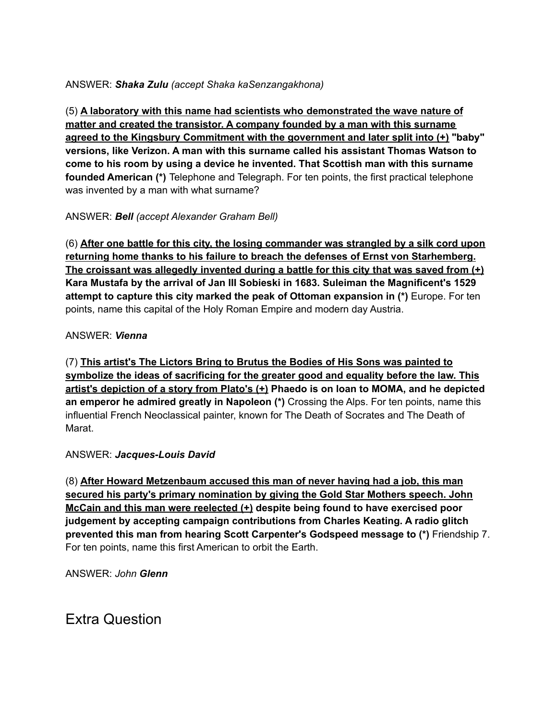# ANSWER: *Shaka Zulu (accept Shaka kaSenzangakhona)*

(5) **A laboratory with this name had scientists who demonstrated the wave nature of matter and created the transistor. A company founded by a man with this surname agreed to the Kingsbury Commitment with the government and later split into (+) "baby" versions, like Verizon. A man with this surname called his assistant Thomas Watson to come to his room by using a device he invented. That Scottish man with this surname founded American (\*)** Telephone and Telegraph. For ten points, the first practical telephone was invented by a man with what surname?

# ANSWER: *Bell (accept Alexander Graham Bell)*

(6) **After one battle for this city, the losing commander was strangled by a silk cord upon returning home thanks to his failure to breach the defenses of Ernst von Starhemberg. The croissant was allegedly invented during a battle for this city that was saved from (+) Kara Mustafa by the arrival of Jan III Sobieski in 1683. Suleiman the Magnificent's 1529 attempt to capture this city marked the peak of Ottoman expansion in (\*)** Europe. For ten points, name this capital of the Holy Roman Empire and modern day Austria.

# ANSWER: *Vienna*

(7) **This artist's The Lictors Bring to Brutus the Bodies of His Sons was painted to symbolize the ideas of sacrificing for the greater good and equality before the law. This artist's depiction of a story from Plato's (+) Phaedo is on loan to MOMA, and he depicted an emperor he admired greatly in Napoleon (\*)** Crossing the Alps. For ten points, name this influential French Neoclassical painter, known for The Death of Socrates and The Death of Marat.

# ANSWER: *Jacques-Louis David*

(8) **After Howard Metzenbaum accused this man of never having had a job, this man secured his party's primary nomination by giving the Gold Star Mothers speech. John McCain and this man were reelected (+) despite being found to have exercised poor judgement by accepting campaign contributions from Charles Keating. A radio glitch prevented this man from hearing Scott Carpenter's Godspeed message to (\*)** Friendship 7. For ten points, name this first American to orbit the Earth.

ANSWER: *John Glenn*

Extra Question